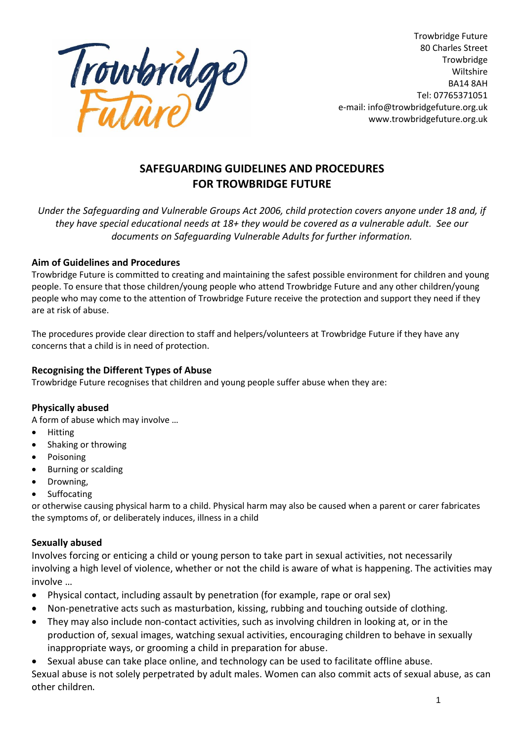

# **SAFEGUARDING GUIDELINES AND PROCEDURES FOR TROWBRIDGE FUTURE**

*Under the Safeguarding and Vulnerable Groups Act 2006, child protection covers anyone under 18 and, if they have special educational needs at 18+ they would be covered as a vulnerable adult. See our documents on Safeguarding Vulnerable Adults for further information.*

#### **Aim of Guidelines and Procedures**

Trowbridge Future is committed to creating and maintaining the safest possible environment for children and young people. To ensure that those children/young people who attend Trowbridge Future and any other children/young people who may come to the attention of Trowbridge Future receive the protection and support they need if they are at risk of abuse.

The procedures provide clear direction to staff and helpers/volunteers at Trowbridge Future if they have any concerns that a child is in need of protection.

#### **Recognising the Different Types of Abuse**

Trowbridge Future recognises that children and young people suffer abuse when they are:

#### **Physically abused**

A form of abuse which may involve …

- Hitting
- Shaking or throwing
- **Poisoning**
- Burning or scalding
- Drowning,
- **Suffocating**

or otherwise causing physical harm to a child. Physical harm may also be caused when a parent or carer fabricates the symptoms of, or deliberately induces, illness in a child

#### **Sexually abused**

Involves forcing or enticing a child or young person to take part in sexual activities, not necessarily involving a high level of violence, whether or not the child is aware of what is happening. The activities may involve …

- Physical contact, including assault by penetration (for example, rape or oral sex)
- Non-penetrative acts such as masturbation, kissing, rubbing and touching outside of clothing.
- They may also include non-contact activities, such as involving children in looking at, or in the production of, sexual images, watching sexual activities, encouraging children to behave in sexually inappropriate ways, or grooming a child in preparation for abuse.
- Sexual abuse can take place online, and technology can be used to facilitate offline abuse.

Sexual abuse is not solely perpetrated by adult males. Women can also commit acts of sexual abuse, as can other children.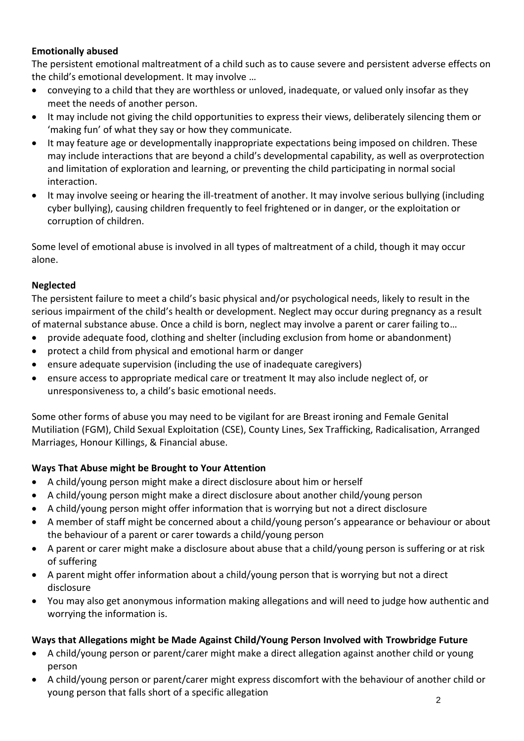#### **Emotionally abused**

The persistent emotional maltreatment of a child such as to cause severe and persistent adverse effects on the child's emotional development. It may involve …

- conveying to a child that they are worthless or unloved, inadequate, or valued only insofar as they meet the needs of another person.
- It may include not giving the child opportunities to express their views, deliberately silencing them or 'making fun' of what they say or how they communicate.
- It may feature age or developmentally inappropriate expectations being imposed on children. These may include interactions that are beyond a child's developmental capability, as well as overprotection and limitation of exploration and learning, or preventing the child participating in normal social interaction.
- It may involve seeing or hearing the ill-treatment of another. It may involve serious bullying (including cyber bullying), causing children frequently to feel frightened or in danger, or the exploitation or corruption of children.

Some level of emotional abuse is involved in all types of maltreatment of a child, though it may occur alone.

#### **Neglected**

The persistent failure to meet a child's basic physical and/or psychological needs, likely to result in the serious impairment of the child's health or development. Neglect may occur during pregnancy as a result of maternal substance abuse. Once a child is born, neglect may involve a parent or carer failing to…

- provide adequate food, clothing and shelter (including exclusion from home or abandonment)
- protect a child from physical and emotional harm or danger
- ensure adequate supervision (including the use of inadequate caregivers)
- ensure access to appropriate medical care or treatment It may also include neglect of, or unresponsiveness to, a child's basic emotional needs.

Some other forms of abuse you may need to be vigilant for are Breast ironing and Female Genital Mutiliation (FGM), Child Sexual Exploitation (CSE), County Lines, Sex Trafficking, Radicalisation, Arranged Marriages, Honour Killings, & Financial abuse.

## **Ways That Abuse might be Brought to Your Attention**

- A child/young person might make a direct disclosure about him or herself
- A child/young person might make a direct disclosure about another child/young person
- A child/young person might offer information that is worrying but not a direct disclosure
- A member of staff might be concerned about a child/young person's appearance or behaviour or about the behaviour of a parent or carer towards a child/young person
- A parent or carer might make a disclosure about abuse that a child/young person is suffering or at risk of suffering
- A parent might offer information about a child/young person that is worrying but not a direct disclosure
- You may also get anonymous information making allegations and will need to judge how authentic and worrying the information is.

#### **Ways that Allegations might be Made Against Child/Young Person Involved with Trowbridge Future**

- A child/young person or parent/carer might make a direct allegation against another child or young person
- A child/young person or parent/carer might express discomfort with the behaviour of another child or young person that falls short of a specific allegation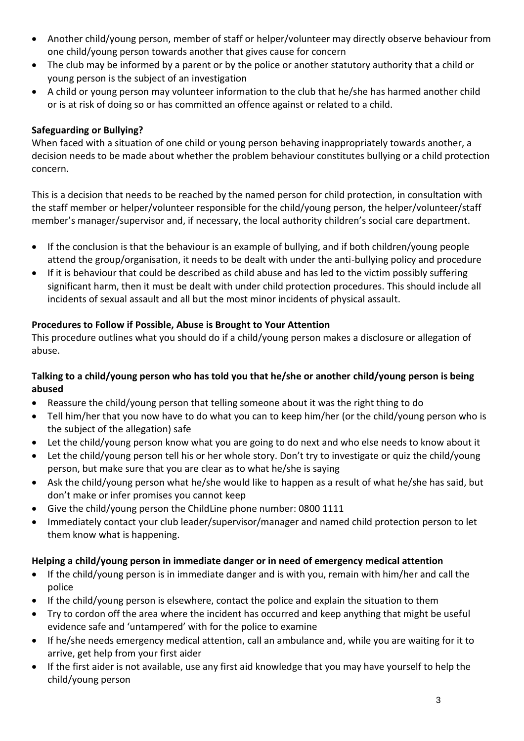- Another child/young person, member of staff or helper/volunteer may directly observe behaviour from one child/young person towards another that gives cause for concern
- The club may be informed by a parent or by the police or another statutory authority that a child or young person is the subject of an investigation
- A child or young person may volunteer information to the club that he/she has harmed another child or is at risk of doing so or has committed an offence against or related to a child.

## **Safeguarding or Bullying?**

When faced with a situation of one child or young person behaving inappropriately towards another, a decision needs to be made about whether the problem behaviour constitutes bullying or a child protection concern.

This is a decision that needs to be reached by the named person for child protection, in consultation with the staff member or helper/volunteer responsible for the child/young person, the helper/volunteer/staff member's manager/supervisor and, if necessary, the local authority children's social care department.

- If the conclusion is that the behaviour is an example of bullying, and if both children/young people attend the group/organisation, it needs to be dealt with under the anti-bullying policy and procedure
- If it is behaviour that could be described as child abuse and has led to the victim possibly suffering significant harm, then it must be dealt with under child protection procedures. This should include all incidents of sexual assault and all but the most minor incidents of physical assault.

## **Procedures to Follow if Possible, Abuse is Brought to Your Attention**

This procedure outlines what you should do if a child/young person makes a disclosure or allegation of abuse.

## **Talking to a child/young person who has told you that he/she or another child/young person is being abused**

- Reassure the child/young person that telling someone about it was the right thing to do
- Tell him/her that you now have to do what you can to keep him/her (or the child/young person who is the subject of the allegation) safe
- Let the child/young person know what you are going to do next and who else needs to know about it
- Let the child/young person tell his or her whole story. Don't try to investigate or quiz the child/young person, but make sure that you are clear as to what he/she is saying
- Ask the child/young person what he/she would like to happen as a result of what he/she has said, but don't make or infer promises you cannot keep
- Give the child/young person the ChildLine phone number: 0800 1111
- Immediately contact your club leader/supervisor/manager and named child protection person to let them know what is happening.

# **Helping a child/young person in immediate danger or in need of emergency medical attention**

- If the child/young person is in immediate danger and is with you, remain with him/her and call the police
- If the child/young person is elsewhere, contact the police and explain the situation to them
- Try to cordon off the area where the incident has occurred and keep anything that might be useful evidence safe and 'untampered' with for the police to examine
- If he/she needs emergency medical attention, call an ambulance and, while you are waiting for it to arrive, get help from your first aider
- If the first aider is not available, use any first aid knowledge that you may have yourself to help the child/young person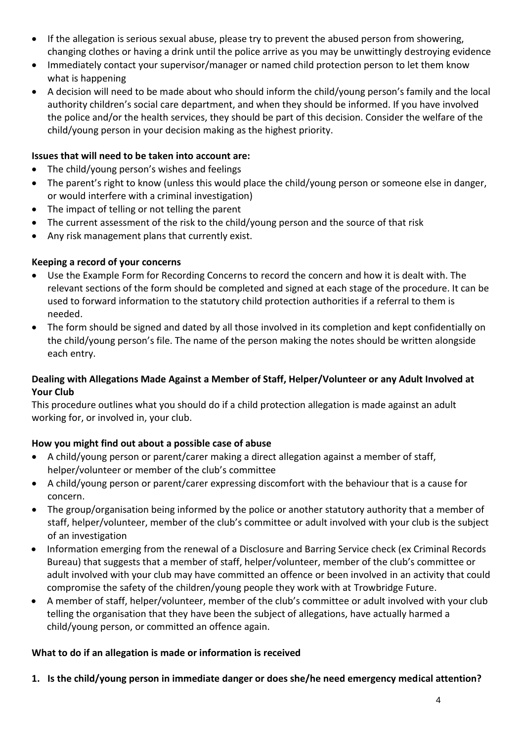- If the allegation is serious sexual abuse, please try to prevent the abused person from showering, changing clothes or having a drink until the police arrive as you may be unwittingly destroying evidence
- Immediately contact your supervisor/manager or named child protection person to let them know what is happening
- A decision will need to be made about who should inform the child/young person's family and the local authority children's social care department, and when they should be informed. If you have involved the police and/or the health services, they should be part of this decision. Consider the welfare of the child/young person in your decision making as the highest priority.

## **Issues that will need to be taken into account are:**

- The child/young person's wishes and feelings
- The parent's right to know (unless this would place the child/young person or someone else in danger, or would interfere with a criminal investigation)
- The impact of telling or not telling the parent
- The current assessment of the risk to the child/young person and the source of that risk
- Any risk management plans that currently exist.

## **Keeping a record of your concerns**

- Use the Example Form for Recording Concerns to record the concern and how it is dealt with. The relevant sections of the form should be completed and signed at each stage of the procedure. It can be used to forward information to the statutory child protection authorities if a referral to them is needed.
- The form should be signed and dated by all those involved in its completion and kept confidentially on the child/young person's file. The name of the person making the notes should be written alongside each entry.

## **Dealing with Allegations Made Against a Member of Staff, Helper/Volunteer or any Adult Involved at Your Club**

This procedure outlines what you should do if a child protection allegation is made against an adult working for, or involved in, your club.

# **How you might find out about a possible case of abuse**

- A child/young person or parent/carer making a direct allegation against a member of staff, helper/volunteer or member of the club's committee
- A child/young person or parent/carer expressing discomfort with the behaviour that is a cause for concern.
- The group/organisation being informed by the police or another statutory authority that a member of staff, helper/volunteer, member of the club's committee or adult involved with your club is the subject of an investigation
- Information emerging from the renewal of a Disclosure and Barring Service check (ex Criminal Records Bureau) that suggests that a member of staff, helper/volunteer, member of the club's committee or adult involved with your club may have committed an offence or been involved in an activity that could compromise the safety of the children/young people they work with at Trowbridge Future.
- A member of staff, helper/volunteer, member of the club's committee or adult involved with your club telling the organisation that they have been the subject of allegations, have actually harmed a child/young person, or committed an offence again.

## **What to do if an allegation is made or information is received**

**1. Is the child/young person in immediate danger or does she/he need emergency medical attention?**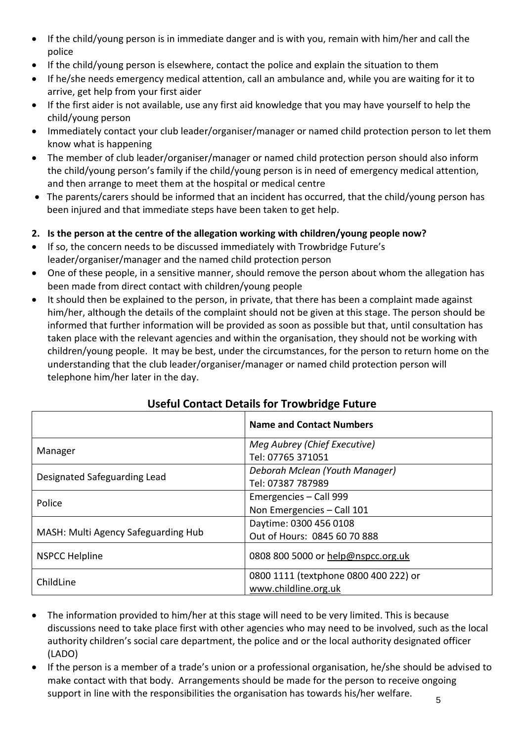- If the child/young person is in immediate danger and is with you, remain with him/her and call the police
- If the child/young person is elsewhere, contact the police and explain the situation to them
- If he/she needs emergency medical attention, call an ambulance and, while you are waiting for it to arrive, get help from your first aider
- If the first aider is not available, use any first aid knowledge that you may have yourself to help the child/young person
- Immediately contact your club leader/organiser/manager or named child protection person to let them know what is happening
- The member of club leader/organiser/manager or named child protection person should also inform the child/young person's family if the child/young person is in need of emergency medical attention, and then arrange to meet them at the hospital or medical centre
- The parents/carers should be informed that an incident has occurred, that the child/young person has been injured and that immediate steps have been taken to get help.
- **2. Is the person at the centre of the allegation working with children/young people now?**
- If so, the concern needs to be discussed immediately with Trowbridge Future's leader/organiser/manager and the named child protection person
- One of these people, in a sensitive manner, should remove the person about whom the allegation has been made from direct contact with children/young people
- It should then be explained to the person, in private, that there has been a complaint made against him/her, although the details of the complaint should not be given at this stage. The person should be informed that further information will be provided as soon as possible but that, until consultation has taken place with the relevant agencies and within the organisation, they should not be working with children/young people. It may be best, under the circumstances, for the person to return home on the understanding that the club leader/organiser/manager or named child protection person will telephone him/her later in the day.

|                                     | <b>Name and Contact Numbers</b>       |  |
|-------------------------------------|---------------------------------------|--|
| Manager                             | Meg Aubrey (Chief Executive)          |  |
|                                     | Tel: 07765 371051                     |  |
| Designated Safeguarding Lead        | Deborah Mclean (Youth Manager)        |  |
|                                     | Tel: 07387 787989                     |  |
| Police                              | Emergencies - Call 999                |  |
|                                     | Non Emergencies - Call 101            |  |
| MASH: Multi Agency Safeguarding Hub | Daytime: 0300 456 0108                |  |
|                                     | Out of Hours: 0845 60 70 888          |  |
| <b>NSPCC Helpline</b>               | 0808 800 5000 or help@nspcc.org.uk    |  |
| ChildLine                           | 0800 1111 (textphone 0800 400 222) or |  |
|                                     | www.childline.org.uk                  |  |

# **Useful Contact Details for Trowbridge Future**

- The information provided to him/her at this stage will need to be very limited. This is because discussions need to take place first with other agencies who may need to be involved, such as the local authority children's social care department, the police and or the local authority designated officer (LADO)
- If the person is a member of a trade's union or a professional organisation, he/she should be advised to make contact with that body. Arrangements should be made for the person to receive ongoing support in line with the responsibilities the organisation has towards his/her welfare.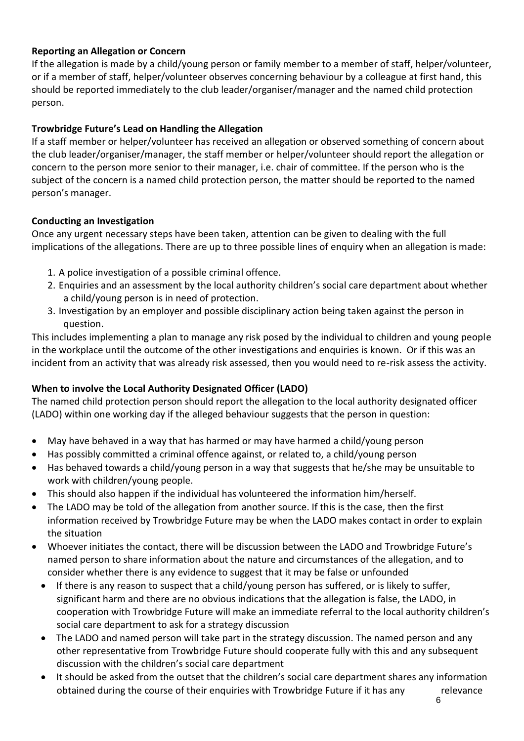#### **Reporting an Allegation or Concern**

If the allegation is made by a child/young person or family member to a member of staff, helper/volunteer, or if a member of staff, helper/volunteer observes concerning behaviour by a colleague at first hand, this should be reported immediately to the club leader/organiser/manager and the named child protection person.

#### **Trowbridge Future's Lead on Handling the Allegation**

If a staff member or helper/volunteer has received an allegation or observed something of concern about the club leader/organiser/manager, the staff member or helper/volunteer should report the allegation or concern to the person more senior to their manager, i.e. chair of committee. If the person who is the subject of the concern is a named child protection person, the matter should be reported to the named person's manager.

#### **Conducting an Investigation**

Once any urgent necessary steps have been taken, attention can be given to dealing with the full implications of the allegations. There are up to three possible lines of enquiry when an allegation is made:

- 1. A police investigation of a possible criminal offence.
- 2. Enquiries and an assessment by the local authority children's social care department about whether a child/young person is in need of protection.
- 3. Investigation by an employer and possible disciplinary action being taken against the person in question.

This includes implementing a plan to manage any risk posed by the individual to children and young people in the workplace until the outcome of the other investigations and enquiries is known. Or if this was an incident from an activity that was already risk assessed, then you would need to re-risk assess the activity.

## **When to involve the Local Authority Designated Officer (LADO)**

The named child protection person should report the allegation to the local authority designated officer (LADO) within one working day if the alleged behaviour suggests that the person in question:

- May have behaved in a way that has harmed or may have harmed a child/young person
- Has possibly committed a criminal offence against, or related to, a child/young person
- Has behaved towards a child/young person in a way that suggests that he/she may be unsuitable to work with children/young people.
- This should also happen if the individual has volunteered the information him/herself.
- The LADO may be told of the allegation from another source. If this is the case, then the first information received by Trowbridge Future may be when the LADO makes contact in order to explain the situation
- Whoever initiates the contact, there will be discussion between the LADO and Trowbridge Future's named person to share information about the nature and circumstances of the allegation, and to consider whether there is any evidence to suggest that it may be false or unfounded
	- If there is any reason to suspect that a child/young person has suffered, or is likely to suffer, significant harm and there are no obvious indications that the allegation is false, the LADO, in cooperation with Trowbridge Future will make an immediate referral to the local authority children's social care department to ask for a strategy discussion
	- The LADO and named person will take part in the strategy discussion. The named person and any other representative from Trowbridge Future should cooperate fully with this and any subsequent discussion with the children's social care department
	- It should be asked from the outset that the children's social care department shares any information obtained during the course of their enquiries with Trowbridge Future if it has any relevance

6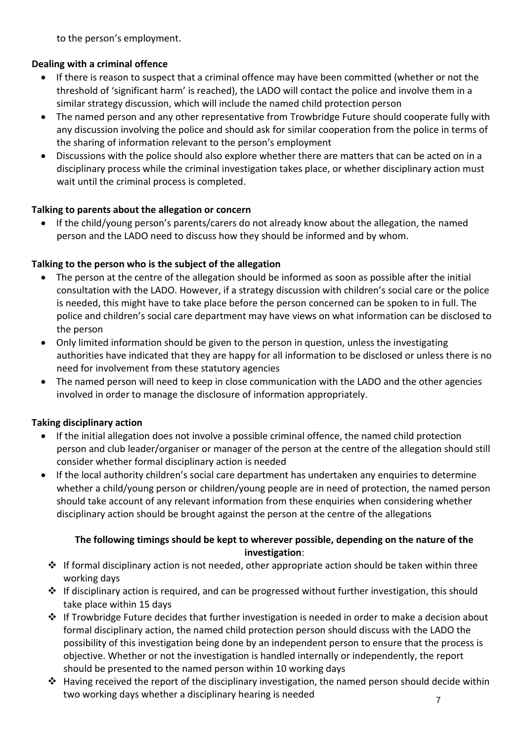to the person's employment.

## **Dealing with a criminal offence**

- If there is reason to suspect that a criminal offence may have been committed (whether or not the threshold of 'significant harm' is reached), the LADO will contact the police and involve them in a similar strategy discussion, which will include the named child protection person
- The named person and any other representative from Trowbridge Future should cooperate fully with any discussion involving the police and should ask for similar cooperation from the police in terms of the sharing of information relevant to the person's employment
- Discussions with the police should also explore whether there are matters that can be acted on in a disciplinary process while the criminal investigation takes place, or whether disciplinary action must wait until the criminal process is completed.

## **Talking to parents about the allegation or concern**

• If the child/young person's parents/carers do not already know about the allegation, the named person and the LADO need to discuss how they should be informed and by whom.

## **Talking to the person who is the subject of the allegation**

- The person at the centre of the allegation should be informed as soon as possible after the initial consultation with the LADO. However, if a strategy discussion with children's social care or the police is needed, this might have to take place before the person concerned can be spoken to in full. The police and children's social care department may have views on what information can be disclosed to the person
- Only limited information should be given to the person in question, unless the investigating authorities have indicated that they are happy for all information to be disclosed or unless there is no need for involvement from these statutory agencies
- The named person will need to keep in close communication with the LADO and the other agencies involved in order to manage the disclosure of information appropriately.

# **Taking disciplinary action**

- If the initial allegation does not involve a possible criminal offence, the named child protection person and club leader/organiser or manager of the person at the centre of the allegation should still consider whether formal disciplinary action is needed
- If the local authority children's social care department has undertaken any enquiries to determine whether a child/young person or children/young people are in need of protection, the named person should take account of any relevant information from these enquiries when considering whether disciplinary action should be brought against the person at the centre of the allegations

## **The following timings should be kept to wherever possible, depending on the nature of the investigation**:

- ❖ If formal disciplinary action is not needed, other appropriate action should be taken within three working days
- ❖ If disciplinary action is required, and can be progressed without further investigation, this should take place within 15 days
- ❖ If Trowbridge Future decides that further investigation is needed in order to make a decision about formal disciplinary action, the named child protection person should discuss with the LADO the possibility of this investigation being done by an independent person to ensure that the process is objective. Whether or not the investigation is handled internally or independently, the report should be presented to the named person within 10 working days
- ❖ Having received the report of the disciplinary investigation, the named person should decide within two working days whether a disciplinary hearing is needed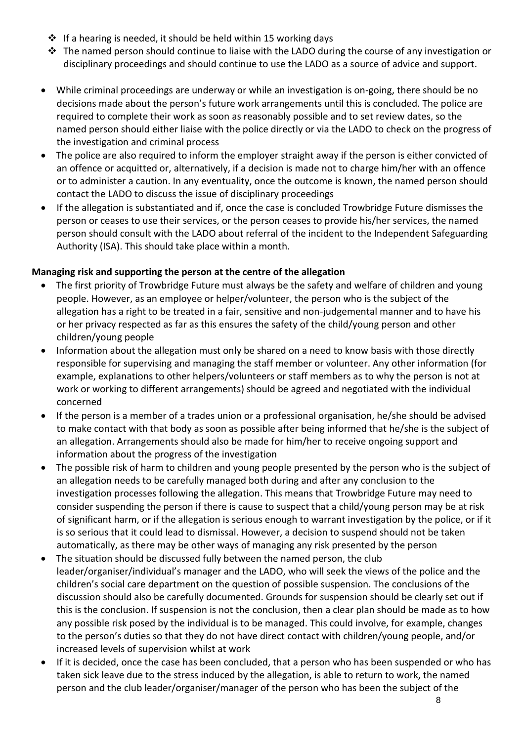- ❖ If a hearing is needed, it should be held within 15 working days
- ❖ The named person should continue to liaise with the LADO during the course of any investigation or disciplinary proceedings and should continue to use the LADO as a source of advice and support.
- While criminal proceedings are underway or while an investigation is on-going, there should be no decisions made about the person's future work arrangements until this is concluded. The police are required to complete their work as soon as reasonably possible and to set review dates, so the named person should either liaise with the police directly or via the LADO to check on the progress of the investigation and criminal process
- The police are also required to inform the employer straight away if the person is either convicted of an offence or acquitted or, alternatively, if a decision is made not to charge him/her with an offence or to administer a caution. In any eventuality, once the outcome is known, the named person should contact the LADO to discuss the issue of disciplinary proceedings
- If the allegation is substantiated and if, once the case is concluded Trowbridge Future dismisses the person or ceases to use their services, or the person ceases to provide his/her services, the named person should consult with the LADO about referral of the incident to the Independent Safeguarding Authority (ISA). This should take place within a month.

#### **Managing risk and supporting the person at the centre of the allegation**

- The first priority of Trowbridge Future must always be the safety and welfare of children and young people. However, as an employee or helper/volunteer, the person who is the subject of the allegation has a right to be treated in a fair, sensitive and non-judgemental manner and to have his or her privacy respected as far as this ensures the safety of the child/young person and other children/young people
- Information about the allegation must only be shared on a need to know basis with those directly responsible for supervising and managing the staff member or volunteer. Any other information (for example, explanations to other helpers/volunteers or staff members as to why the person is not at work or working to different arrangements) should be agreed and negotiated with the individual concerned
- If the person is a member of a trades union or a professional organisation, he/she should be advised to make contact with that body as soon as possible after being informed that he/she is the subject of an allegation. Arrangements should also be made for him/her to receive ongoing support and information about the progress of the investigation
- The possible risk of harm to children and young people presented by the person who is the subject of an allegation needs to be carefully managed both during and after any conclusion to the investigation processes following the allegation. This means that Trowbridge Future may need to consider suspending the person if there is cause to suspect that a child/young person may be at risk of significant harm, or if the allegation is serious enough to warrant investigation by the police, or if it is so serious that it could lead to dismissal. However, a decision to suspend should not be taken automatically, as there may be other ways of managing any risk presented by the person
- The situation should be discussed fully between the named person, the club leader/organiser/individual's manager and the LADO, who will seek the views of the police and the children's social care department on the question of possible suspension. The conclusions of the discussion should also be carefully documented. Grounds for suspension should be clearly set out if this is the conclusion. If suspension is not the conclusion, then a clear plan should be made as to how any possible risk posed by the individual is to be managed. This could involve, for example, changes to the person's duties so that they do not have direct contact with children/young people, and/or increased levels of supervision whilst at work
- If it is decided, once the case has been concluded, that a person who has been suspended or who has taken sick leave due to the stress induced by the allegation, is able to return to work, the named person and the club leader/organiser/manager of the person who has been the subject of the